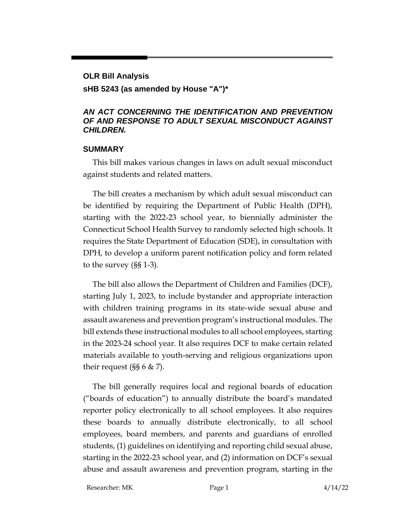#### **OLR Bill Analysis**

#### **sHB 5243 (as amended by House "A")\***

#### *AN ACT CONCERNING THE IDENTIFICATION AND PREVENTION OF AND RESPONSE TO ADULT SEXUAL MISCONDUCT AGAINST CHILDREN.*

#### **SUMMARY**

This bill makes various changes in laws on adult sexual misconduct against students and related matters.

The bill creates a mechanism by which adult sexual misconduct can be identified by requiring the Department of Public Health (DPH), starting with the 2022-23 school year, to biennially administer the Connecticut School Health Survey to randomly selected high schools. It requires the State Department of Education (SDE), in consultation with DPH, to develop a uniform parent notification policy and form related to the survey (§§ 1-3).

The bill also allows the Department of Children and Families (DCF), starting July 1, 2023, to include bystander and appropriate interaction with children training programs in its state-wide sexual abuse and assault awareness and prevention program's instructional modules. The bill extends these instructional modules to all school employees, starting in the 2023-24 school year. It also requires DCF to make certain related materials available to youth-serving and religious organizations upon their request  $(SS 6 \& Z)$ .

The bill generally requires local and regional boards of education ("boards of education") to annually distribute the board's mandated reporter policy electronically to all school employees. It also requires these boards to annually distribute electronically, to all school employees, board members, and parents and guardians of enrolled students, (1) guidelines on identifying and reporting child sexual abuse, starting in the 2022-23 school year, and (2) information on DCF's sexual abuse and assault awareness and prevention program, starting in the

Researcher: MK Page 1 4/14/22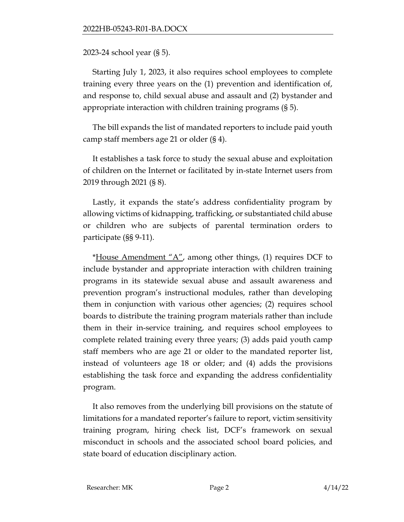2023-24 school year (§ 5).

Starting July 1, 2023, it also requires school employees to complete training every three years on the (1) prevention and identification of, and response to, child sexual abuse and assault and (2) bystander and appropriate interaction with children training programs (§ 5).

The bill expands the list of mandated reporters to include paid youth camp staff members age 21 or older (§ 4).

It establishes a task force to study the sexual abuse and exploitation of children on the Internet or facilitated by in-state Internet users from 2019 through 2021 (§ 8).

Lastly, it expands the state's address confidentiality program by allowing victims of kidnapping, trafficking, or substantiated child abuse or children who are subjects of parental termination orders to participate (§§ 9-11).

\*House Amendment " $A$ ", among other things, (1) requires DCF to include bystander and appropriate interaction with children training programs in its statewide sexual abuse and assault awareness and prevention program's instructional modules, rather than developing them in conjunction with various other agencies; (2) requires school boards to distribute the training program materials rather than include them in their in-service training, and requires school employees to complete related training every three years; (3) adds paid youth camp staff members who are age 21 or older to the mandated reporter list, instead of volunteers age 18 or older; and (4) adds the provisions establishing the task force and expanding the address confidentiality program.

It also removes from the underlying bill provisions on the statute of limitations for a mandated reporter's failure to report, victim sensitivity training program, hiring check list, DCF's framework on sexual misconduct in schools and the associated school board policies, and state board of education disciplinary action.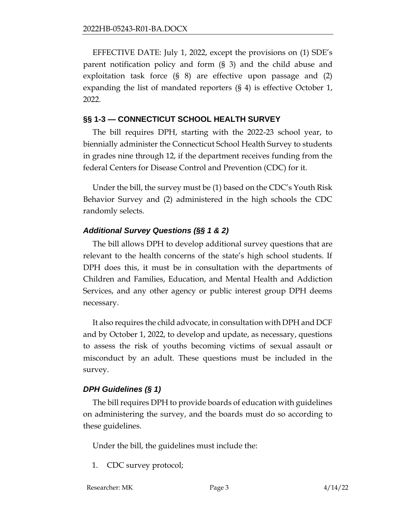EFFECTIVE DATE: July 1, 2022, except the provisions on (1) SDE's parent notification policy and form (§ 3) and the child abuse and exploitation task force (§ 8) are effective upon passage and (2) expanding the list of mandated reporters (§ 4) is effective October 1, 2022.

#### **§§ 1-3 — CONNECTICUT SCHOOL HEALTH SURVEY**

The bill requires DPH, starting with the 2022-23 school year, to biennially administer the Connecticut School Health Survey to students in grades nine through 12, if the department receives funding from the federal Centers for Disease Control and Prevention (CDC) for it.

Under the bill, the survey must be (1) based on the CDC's Youth Risk Behavior Survey and (2) administered in the high schools the CDC randomly selects.

# *Additional Survey Questions (§§ 1 & 2)*

The bill allows DPH to develop additional survey questions that are relevant to the health concerns of the state's high school students. If DPH does this, it must be in consultation with the departments of Children and Families, Education, and Mental Health and Addiction Services, and any other agency or public interest group DPH deems necessary.

It also requires the child advocate, in consultation with DPH and DCF and by October 1, 2022, to develop and update, as necessary, questions to assess the risk of youths becoming victims of sexual assault or misconduct by an adult. These questions must be included in the survey.

## *DPH Guidelines (§ 1)*

The bill requires DPH to provide boards of education with guidelines on administering the survey, and the boards must do so according to these guidelines.

Under the bill, the guidelines must include the:

- 1. CDC survey protocol;
- Researcher: MK Page 3 4/14/22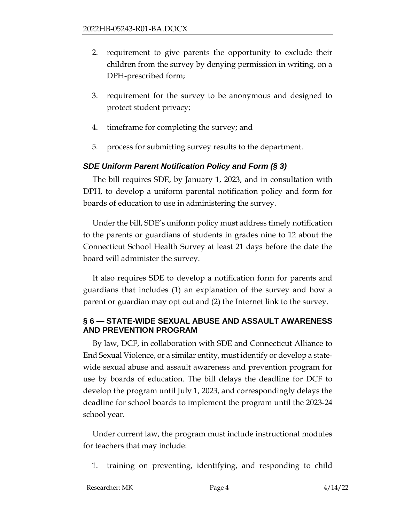- 2. requirement to give parents the opportunity to exclude their children from the survey by denying permission in writing, on a DPH-prescribed form;
- 3. requirement for the survey to be anonymous and designed to protect student privacy;
- 4. timeframe for completing the survey; and
- 5. process for submitting survey results to the department.

#### *SDE Uniform Parent Notification Policy and Form (§ 3)*

The bill requires SDE, by January 1, 2023, and in consultation with DPH, to develop a uniform parental notification policy and form for boards of education to use in administering the survey.

Under the bill, SDE's uniform policy must address timely notification to the parents or guardians of students in grades nine to 12 about the Connecticut School Health Survey at least 21 days before the date the board will administer the survey.

It also requires SDE to develop a notification form for parents and guardians that includes (1) an explanation of the survey and how a parent or guardian may opt out and (2) the Internet link to the survey.

## **§ 6 — STATE-WIDE SEXUAL ABUSE AND ASSAULT AWARENESS AND PREVENTION PROGRAM**

By law, DCF, in collaboration with SDE and Connecticut Alliance to End Sexual Violence, or a similar entity, must identify or develop a statewide sexual abuse and assault awareness and prevention program for use by boards of education. The bill delays the deadline for DCF to develop the program until July 1, 2023, and correspondingly delays the deadline for school boards to implement the program until the 2023-24 school year.

Under current law, the program must include instructional modules for teachers that may include:

1. training on preventing, identifying, and responding to child

Researcher: MK Page 4 4/14/22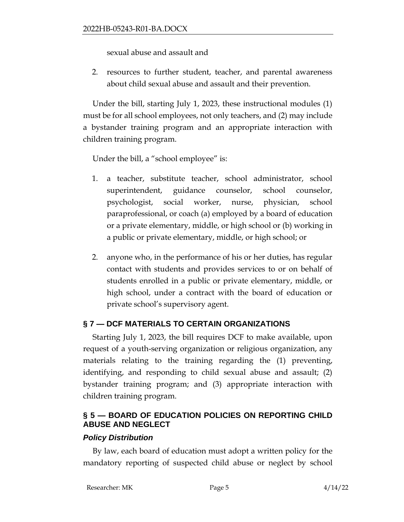sexual abuse and assault and

2. resources to further student, teacher, and parental awareness about child sexual abuse and assault and their prevention.

Under the bill, starting July 1, 2023, these instructional modules (1) must be for all school employees, not only teachers, and (2) may include a bystander training program and an appropriate interaction with children training program.

Under the bill, a "school employee" is:

- 1. a teacher, substitute teacher, school administrator, school superintendent, guidance counselor, school counselor, psychologist, social worker, nurse, physician, school paraprofessional, or coach (a) employed by a board of education or a private elementary, middle, or high school or (b) working in a public or private elementary, middle, or high school; or
- 2. anyone who, in the performance of his or her duties, has regular contact with students and provides services to or on behalf of students enrolled in a public or private elementary, middle, or high school, under a contract with the board of education or private school's supervisory agent.

# **§ 7 — DCF MATERIALS TO CERTAIN ORGANIZATIONS**

Starting July 1, 2023, the bill requires DCF to make available, upon request of a youth-serving organization or religious organization, any materials relating to the training regarding the (1) preventing, identifying, and responding to child sexual abuse and assault; (2) bystander training program; and (3) appropriate interaction with children training program.

# **§ 5 — BOARD OF EDUCATION POLICIES ON REPORTING CHILD ABUSE AND NEGLECT**

## *Policy Distribution*

By law, each board of education must adopt a written policy for the mandatory reporting of suspected child abuse or neglect by school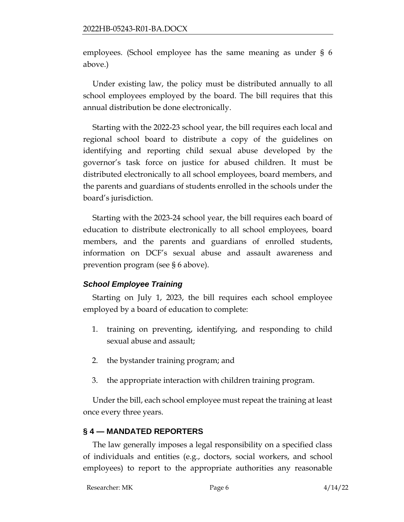employees. (School employee has the same meaning as under § 6 above.)

Under existing law, the policy must be distributed annually to all school employees employed by the board. The bill requires that this annual distribution be done electronically.

Starting with the 2022-23 school year, the bill requires each local and regional school board to distribute a copy of the guidelines on identifying and reporting child sexual abuse developed by the governor's task force on justice for abused children. It must be distributed electronically to all school employees, board members, and the parents and guardians of students enrolled in the schools under the board's jurisdiction.

Starting with the 2023-24 school year, the bill requires each board of education to distribute electronically to all school employees, board members, and the parents and guardians of enrolled students, information on DCF's sexual abuse and assault awareness and prevention program (see § 6 above).

## *School Employee Training*

Starting on July 1, 2023, the bill requires each school employee employed by a board of education to complete:

- 1. training on preventing, identifying, and responding to child sexual abuse and assault;
- 2. the bystander training program; and
- 3. the appropriate interaction with children training program.

Under the bill, each school employee must repeat the training at least once every three years.

## **§ 4 — MANDATED REPORTERS**

The law generally imposes a legal responsibility on a specified class of individuals and entities (e.g., doctors, social workers, and school employees) to report to the appropriate authorities any reasonable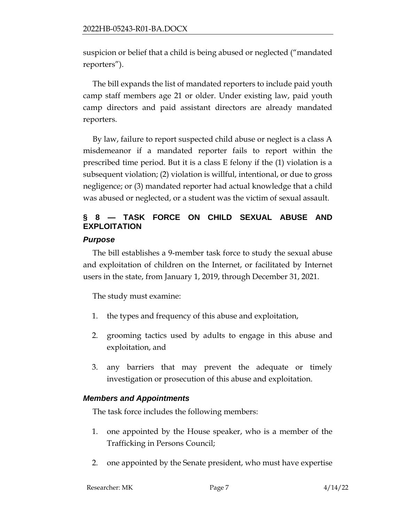suspicion or belief that a child is being abused or neglected ("mandated reporters").

The bill expands the list of mandated reporters to include paid youth camp staff members age 21 or older. Under existing law, paid youth camp directors and paid assistant directors are already mandated reporters.

By law, failure to report suspected child abuse or neglect is a class A misdemeanor if a mandated reporter fails to report within the prescribed time period. But it is a class E felony if the (1) violation is a subsequent violation; (2) violation is willful, intentional, or due to gross negligence; or (3) mandated reporter had actual knowledge that a child was abused or neglected, or a student was the victim of sexual assault.

# **§ 8 — TASK FORCE ON CHILD SEXUAL ABUSE AND EXPLOITATION**

## *Purpose*

The bill establishes a 9-member task force to study the sexual abuse and exploitation of children on the Internet, or facilitated by Internet users in the state, from January 1, 2019, through December 31, 2021.

The study must examine:

- 1. the types and frequency of this abuse and exploitation,
- 2. grooming tactics used by adults to engage in this abuse and exploitation, and
- 3. any barriers that may prevent the adequate or timely investigation or prosecution of this abuse and exploitation.

# *Members and Appointments*

The task force includes the following members:

- 1. one appointed by the House speaker, who is a member of the Trafficking in Persons Council;
- 2. one appointed by the Senate president, who must have expertise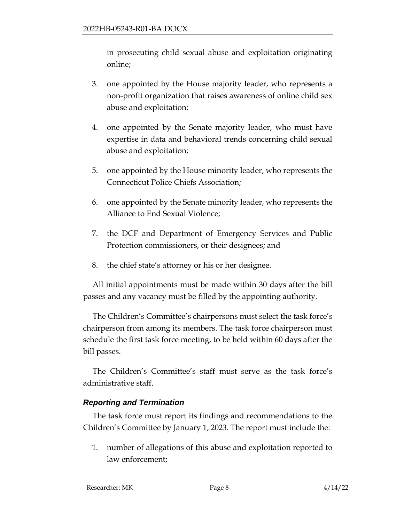in prosecuting child sexual abuse and exploitation originating online;

- 3. one appointed by the House majority leader, who represents a non-profit organization that raises awareness of online child sex abuse and exploitation;
- 4. one appointed by the Senate majority leader, who must have expertise in data and behavioral trends concerning child sexual abuse and exploitation;
- 5. one appointed by the House minority leader, who represents the Connecticut Police Chiefs Association;
- 6. one appointed by the Senate minority leader, who represents the Alliance to End Sexual Violence;
- 7. the DCF and Department of Emergency Services and Public Protection commissioners, or their designees; and
- 8. the chief state's attorney or his or her designee.

All initial appointments must be made within 30 days after the bill passes and any vacancy must be filled by the appointing authority.

The Children's Committee's chairpersons must select the task force's chairperson from among its members. The task force chairperson must schedule the first task force meeting, to be held within 60 days after the bill passes.

The Children's Committee's staff must serve as the task force's administrative staff.

# *Reporting and Termination*

The task force must report its findings and recommendations to the Children's Committee by January 1, 2023. The report must include the:

1. number of allegations of this abuse and exploitation reported to law enforcement;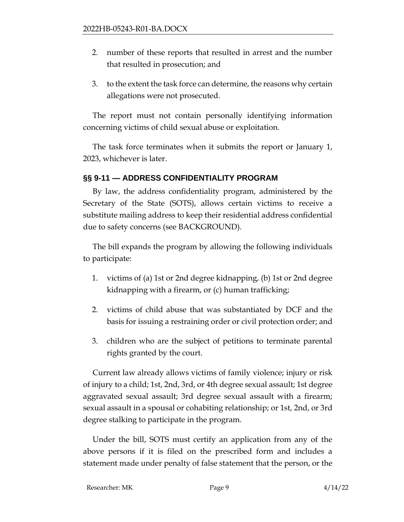- 2. number of these reports that resulted in arrest and the number that resulted in prosecution; and
- 3. to the extent the task force can determine, the reasons why certain allegations were not prosecuted.

The report must not contain personally identifying information concerning victims of child sexual abuse or exploitation.

The task force terminates when it submits the report or January 1, 2023, whichever is later.

## **§§ 9-11 — ADDRESS CONFIDENTIALITY PROGRAM**

By law, the address confidentiality program, administered by the Secretary of the State (SOTS), allows certain victims to receive a substitute mailing address to keep their residential address confidential due to safety concerns (see BACKGROUND).

The bill expands the program by allowing the following individuals to participate:

- 1. victims of (a) 1st or 2nd degree kidnapping, (b) 1st or 2nd degree kidnapping with a firearm, or (c) human trafficking;
- 2. victims of child abuse that was substantiated by DCF and the basis for issuing a restraining order or civil protection order; and
- 3. children who are the subject of petitions to terminate parental rights granted by the court.

Current law already allows victims of family violence; injury or risk of injury to a child; 1st, 2nd, 3rd, or 4th degree sexual assault; 1st degree aggravated sexual assault; 3rd degree sexual assault with a firearm; sexual assault in a spousal or cohabiting relationship; or 1st, 2nd, or 3rd degree stalking to participate in the program.

Under the bill, SOTS must certify an application from any of the above persons if it is filed on the prescribed form and includes a statement made under penalty of false statement that the person, or the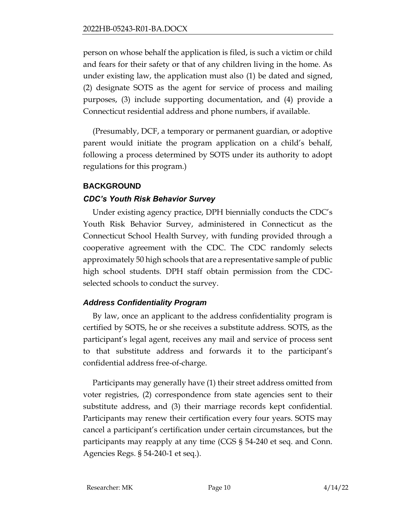person on whose behalf the application is filed, is such a victim or child and fears for their safety or that of any children living in the home. As under existing law, the application must also (1) be dated and signed, (2) designate SOTS as the agent for service of process and mailing purposes, (3) include supporting documentation, and (4) provide a Connecticut residential address and phone numbers, if available.

(Presumably, DCF, a temporary or permanent guardian, or adoptive parent would initiate the program application on a child's behalf, following a process determined by SOTS under its authority to adopt regulations for this program.)

## **BACKGROUND**

## *CDC's Youth Risk Behavior Survey*

Under existing agency practice, DPH biennially conducts the CDC's Youth Risk Behavior Survey, administered in Connecticut as the Connecticut School Health Survey, with funding provided through a cooperative agreement with the CDC. The CDC randomly selects approximately 50 high schools that are a representative sample of public high school students. DPH staff obtain permission from the CDCselected schools to conduct the survey.

## *Address Confidentiality Program*

By law, once an applicant to the address confidentiality program is certified by SOTS, he or she receives a substitute address. SOTS, as the participant's legal agent, receives any mail and service of process sent to that substitute address and forwards it to the participant's confidential address free-of-charge.

Participants may generally have (1) their street address omitted from voter registries, (2) correspondence from state agencies sent to their substitute address, and (3) their marriage records kept confidential. Participants may renew their certification every four years. SOTS may cancel a participant's certification under certain circumstances, but the participants may reapply at any time (CGS § 54-240 et seq. and Conn. Agencies Regs. § 54-240-1 et seq.).